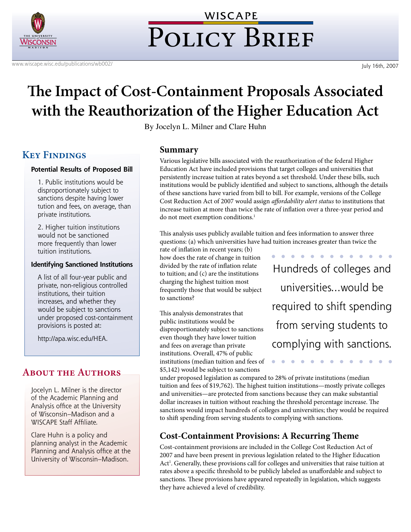

WISCAPE

# POLICY BRIEF

www.wiscape.wisc.edu/publications/wb002/ July 16th, 2007

### **The Impact of Cost-Containment Proposals Associated with the Reauthorization of the Higher Education Act**

By Jocelyn L. Milner and Clare Huhn

### **Key Findings Summary**

#### **Potential Results of Proposed Bill**

1. Public institutions would be disproportionately subject to sanctions despite having lower tution and fees, on average, than private institutions.

2. Higher tuition institutions would not be sanctioned more frequently than lower tuition institutions.

#### **Identifying Sanctioned Institutions**

A list of all four-year public and private, non-religious controlled institutions, their tuition increases, and whether they would be subject to sanctions under proposed cost-containment provisions is posted at:

http://apa.wisc.edu/HEA.

### **About the Authors**

Jocelyn L. Milner is the director of the Academic Planning and Analysis office at the University of Wisconsin–Madison and a WISCAPE Staff Affiliate.

Clare Huhn is a policy and planning analyst in the Academic Planning and Analysis office at the University of Wisconsin–Madison.

Various legislative bills associated with the reauthorization of the federal Higher Education Act have included provisions that target colleges and universities that persistently increase tuition at rates beyond a set threshold. Under these bills, such institutions would be publicly identified and subject to sanctions, although the details of these sanctions have varied from bill to bill. For example, versions of the College Cost Reduction Act of 2007 would assign *affordability alert status* to institutions that increase tuition at more than twice the rate of inflation over a three-year period and do not meet exemption conditions.<sup>1</sup>

This analysis uses publicly available tuition and fees information to answer three questions: (a) which universities have had tuition increases greater than twice the

rate of inflation in recent years; (b) how does the rate of change in tuition divided by the rate of inflation relate to tuition; and (c) are the institutions charging the highest tuition most frequently those that would be subject to sanctions?

This analysis demonstrates that public institutions would be disproportionately subject to sanctions even though they have lower tuition and fees on average than private institutions. Overall, 47% of public institutions (median tuition and fees of \$5,142) would be subject to sanctions

Hundreds of colleges and universities...would be required to shift spending from serving students to complying with sanctions.

under proposed legislation as compared to 28% of private institutions (median tuition and fees of \$19,762). The highest tuition institutions—mostly private colleges and universities—are protected from sanctions because they can make substantial dollar increases in tuition without reaching the threshold percentage increase. The sanctions would impact hundreds of colleges and universities; they would be required to shift spending from serving students to complying with sanctions.

#### **Cost-Containment Provisions: A Recurring Theme**

Cost-containment provisions are included in the College Cost Reduction Act of 2007 and have been present in previous legislation related to the Higher Education Act<sup>1</sup>. Generally, these provisions call for colleges and universities that raise tuition at rates above a specific threshold to be publicly labeled as unaffordable and subject to sanctions. These provisions have appeared repeatedly in legislation, which suggests they have achieved a level of credibility.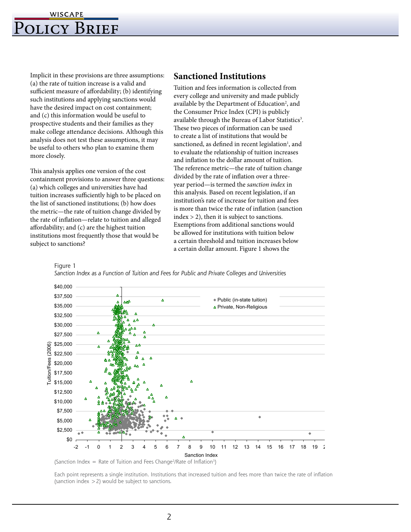### OLICY BRIEF

Implicit in these provisions are three assumptions: (a) the rate of tuition increase is a valid and sufficient measure of affordability; (b) identifying such institutions and applying sanctions would have the desired impact on cost containment; and (c) this information would be useful to prospective students and their families as they make college attendance decisions. Although this analysis does not test these assumptions, it may be useful to others who plan to examine them more closely.

This analysis applies one version of the cost containment provisions to answer three questions: (a) which colleges and universities have had tuition increases sufficiently high to be placed on the list of sanctioned institutions; (b) how does the metric—the rate of tuition change divided by the rate of inflation—relate to tuition and alleged affordability; and (c) are the highest tuition institutions most frequently those that would be subject to sanctions?

#### **Sanctioned Institutions**

Tuition and fees information is collected from every college and university and made publicly available by the Department of Education<sup>2</sup>, and the Consumer Price Index (CPI) is publicly available through the Bureau of Labor Statistics<sup>3</sup>. These two pieces of information can be used to create a list of institutions that would be sanctioned, as defined in recent legislation<sup>1</sup>, and to evaluate the relationship of tuition increases and inflation to the dollar amount of tuition. The reference metric—the rate of tuition change divided by the rate of inflation over a threeyear period—is termed the *sanction index* in this analysis. Based on recent legislation, if an institution's rate of increase for tuition and fees is more than twice the rate of inflation (sanction  $index > 2$ , then it is subject to sanctions. Exemptions from additional sanctions would be allowed for institutions with tuition below a certain threshold and tuition increases below a certain dollar amount. Figure 1 shows the





(Sanction Index = Rate of Tuition and Fees Change<sup>2</sup>/Rate of Inflation<sup>3</sup>)  $231488$  1.074997  $37148$  1.074997  $37148$  No 214041  $379$ 

Each point represents a single institution. Institutions that increased tuition and fees more than twice the rate of inflation (sanction index  $>$  2) would be subject to sanctions.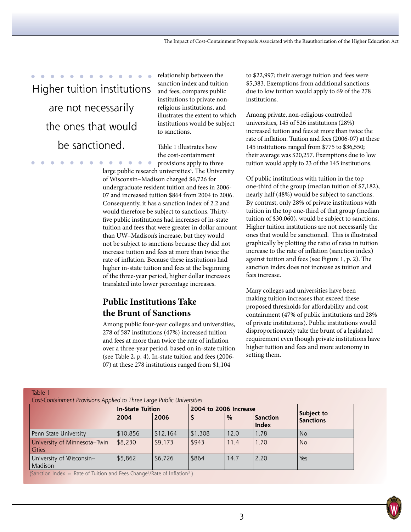Higher tuition institutions are not necessarily the ones that would be sanctioned.

relationship between the sanction index and tuition and fees, compares public institutions to private nonreligious institutions, and illustrates the extent to which institutions would be subject to sanctions.

Table 1 illustrates how the cost-containment  $\bullet$   $\bullet$ provisions apply to three large public research universities<sup>4</sup>. The University of Wisconsin–Madison charged \$6,726 for undergraduate resident tuition and fees in 2006- 07 and increased tuition \$864 from 2004 to 2006. Consequently, it has a sanction index of 2.2 and would therefore be subject to sanctions. Thirtyfive public institutions had increases of in-state tuition and fees that were greater in dollar amount than UW–Madison's increase, but they would not be subject to sanctions because they did not increase tuition and fees at more than twice the rate of inflation. Because these institutions had higher in-state tuition and fees at the beginning of the three-year period, higher dollar increases translated into lower percentage increases.

#### **Public Institutions Take the Brunt of Sanctions**

*Cost-Containment Provisions Applied to Three Large Public Universities*

Among public four-year colleges and universities, 278 of 587 institutions (47%) increased tuition and fees at more than twice the rate of inflation over a three-year period, based on in-state tuition (see Table 2, p. 4). In-state tuition and fees (2006- 07) at these 278 institutions ranged from \$1,104

to \$22,997; their average tuition and fees were \$5,383. Exemptions from additional sanctions due to low tuition would apply to 69 of the 278 institutions.

Among private, non-religious controlled universities, 145 of 526 institutions (28%) increased tuition and fees at more than twice the rate of inflation. Tuition and fees (2006-07) at these 145 institutions ranged from \$775 to \$36,550; their average was \$20,257. Exemptions due to low tuition would apply to 23 of the 145 institutions.

Of public institutions with tuition in the top one-third of the group (median tuition of \$7,182), nearly half (48%) would be subject to sanctions. By contrast, only 28% of private institutions with tuition in the top one-third of that group (median tuition of \$30,060), would be subject to sanctions. Higher tuition institutions are not necessarily the ones that would be sanctioned. This is illustrated graphically by plotting the ratio of rates in tuition increase to the rate of inflation (sanction index) against tuition and fees (see Figure 1, p. 2). The sanction index does not increase as tuition and fees increase.

Many colleges and universities have been making tuition increases that exceed these proposed thresholds for affordability and cost containment (47% of public institutions and 28% of private institutions). Public institutions would disproportionately take the brunt of a legislated requirement even though private institutions have higher tuition and fees and more autonomy in setting them.

| Cost-Containment Frovisions Applied to Trifee Large Fublic Quiversities |                         |          |                       |      |                          |                                |  |  |
|-------------------------------------------------------------------------|-------------------------|----------|-----------------------|------|--------------------------|--------------------------------|--|--|
|                                                                         | <b>In-State Tuition</b> |          | 2004 to 2006 Increase |      |                          |                                |  |  |
|                                                                         | 2004                    | 2006     |                       | $\%$ | <b>Sanction</b><br>Index | Subject to<br><b>Sanctions</b> |  |  |
| Penn State University                                                   | \$10,856                | \$12,164 | \$1,308               | 12.0 | 1.78                     | <b>No</b>                      |  |  |
| University of Minnesota-Twin<br><b>Cities</b>                           | \$8,230                 | \$9,173  | \$943                 | 11.4 | 1.70                     | <b>No</b>                      |  |  |
| University of Wisconsin-<br>Madison                                     | \$5,862                 | \$6,726  | \$864                 | 14.7 | 2.20                     | Yes                            |  |  |

(Sanction Index = Rate of Tuition and Fees Change<sup>2</sup>/Rate of Inflation<sup>3</sup>)

Table 1

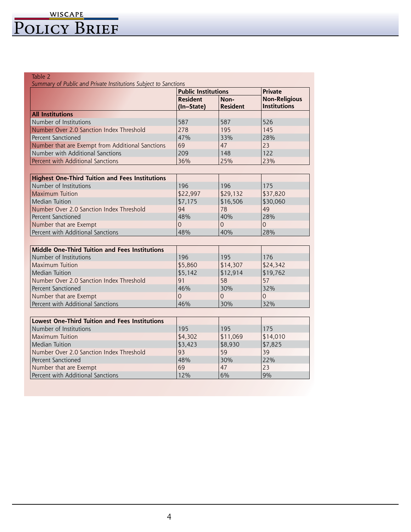#### WISCAPE

## POLICY BRIEF

|                                                        | <b>Public Institutions</b> |                 | <b>Private</b>                              |
|--------------------------------------------------------|----------------------------|-----------------|---------------------------------------------|
|                                                        | <b>Resident</b>            | Non-            | <b>Non-Religious</b><br><b>Institutions</b> |
|                                                        | (In-State)                 | <b>Resident</b> |                                             |
| <b>All Institutions</b>                                |                            |                 |                                             |
| Number of Institutions                                 | 587                        | 587             | 526                                         |
| Number Over 2.0 Sanction Index Threshold               | 278                        | 195             | 145                                         |
| Percent Sanctioned                                     | 47%                        | 33%             | 28%                                         |
| Number that are Exempt from Additional Sanctions       | 69                         | 47              | 23                                          |
| Number with Additional Sanctions                       | 209                        | 148             | 122                                         |
| Percent with Additional Sanctions                      | 36%                        | 25%             | 23%                                         |
|                                                        |                            |                 |                                             |
| <b>Highest One-Third Tuition and Fees Institutions</b> |                            |                 |                                             |
| Number of Institutions                                 | 196                        | 196             | 175                                         |
| <b>Maximum Tuition</b>                                 | \$22,997                   | \$29,132        | \$37,820                                    |
| <b>Median Tuition</b>                                  | \$7,175                    | \$16,506        | \$30,060                                    |
| Number Over 2.0 Sanction Index Threshold               | 94                         | 78              | 49                                          |
| Percent Sanctioned                                     | 48%                        | 40%             | 28%                                         |
| Number that are Exempt                                 | $\overline{0}$             | $\overline{O}$  | $\overline{O}$                              |
| Percent with Additional Sanctions                      | 48%                        | 40%             | 28%                                         |
|                                                        |                            |                 |                                             |
| <b>Middle One-Third Tuition and Fees Institutions</b>  |                            |                 |                                             |
| Number of Institutions                                 | 196                        | 195             | 176                                         |
| <b>Maximum Tuition</b>                                 | \$5,860                    | \$14,307        | \$24,342                                    |
| <b>Median Tuition</b>                                  | \$5,142                    | \$12,914        | \$19,762                                    |
| Number Over 2.0 Sanction Index Threshold               | 91                         | 58              | 57                                          |
| Percent Sanctioned                                     | 46%                        | 30%             | 32%                                         |
| Number that are Exempt                                 | $\overline{O}$             | $\overline{0}$  | $\overline{O}$                              |
| Percent with Additional Sanctions                      | 46%                        | 30%             | 32%                                         |
|                                                        |                            |                 |                                             |
| <b>Lowest One-Third Tuition and Fees Institutions</b>  |                            |                 |                                             |
| Number of Institutions                                 | 195                        | 195             | 175                                         |
| <b>Maximum Tuition</b>                                 | \$4,302                    | \$11,069        | \$14,010                                    |
| <b>Median Tuition</b>                                  | \$3,423                    | \$8,930         | \$7,825                                     |
| Number Over 2.0 Sanction Index Threshold               | 93                         | 59              | 39                                          |
| <b>Percent Sanctioned</b>                              | 48%                        | 30%             | 22%                                         |
| Number that are Exempt                                 | 69                         | 47              | 23                                          |
| Percent with Additional Sanctions                      | 12%                        | 6%              | 9%                                          |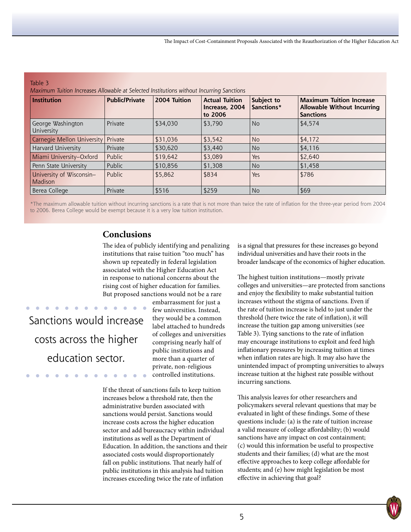| Maximum Tuition Increases Allowable at Selected Institutions without Incurring Sanctions |                       |              |                                                    |                          |                                                                                           |  |  |  |  |
|------------------------------------------------------------------------------------------|-----------------------|--------------|----------------------------------------------------|--------------------------|-------------------------------------------------------------------------------------------|--|--|--|--|
| <b>Institution</b>                                                                       | <b>Public/Private</b> | 2004 Tuition | <b>Actual Tuition</b><br>Increase, 2004<br>to 2006 | Subject to<br>Sanctions* | <b>Maximum Tuition Increase</b><br><b>Allowable Without Incurring</b><br><b>Sanctions</b> |  |  |  |  |
| George Washington<br>University                                                          | Private               | \$34,030     | \$3,790                                            | <b>No</b>                | \$4,574                                                                                   |  |  |  |  |
| Carnegie Mellon University                                                               | Private               | \$31,036     | \$3,542                                            | <b>No</b>                | \$4,172                                                                                   |  |  |  |  |
| Harvard University                                                                       | Private               | \$30,620     | \$3,440                                            | No.                      | \$4,116                                                                                   |  |  |  |  |
| Miami University-Oxford                                                                  | Public                | \$19,642     | \$3,089                                            | Yes                      | \$2,640                                                                                   |  |  |  |  |
| Penn State University                                                                    | Public                | \$10,856     | \$1,308                                            | <b>No</b>                | \$1,458                                                                                   |  |  |  |  |
| University of Wisconsin-<br><b>Madison</b>                                               | Public                | \$5,862      | \$834                                              | Yes                      | \$786                                                                                     |  |  |  |  |
| Berea College                                                                            | Private               | \$516        | \$259                                              | <b>No</b>                | \$69                                                                                      |  |  |  |  |

Table 3

\*The maximum allowable tuition without incurring sanctions is a rate that is not more than twice the rate of inflation for the three-year period from 2004 to 2006. Berea College would be exempt because it is a very low tuition institution.

#### **Conclusions**

The idea of publicly identifying and penalizing institutions that raise tuition "too much" has shown up repeatedly in federal legislation associated with the Higher Education Act in response to national concerns about the rising cost of higher education for families. But proposed sanctions would not be a rare

Sanctions would increase costs across the higher education sector.

embarrassment for just a few universities. Instead, they would be a common label attached to hundreds of colleges and universities comprising nearly half of public institutions and more than a quarter of private, non-religious controlled institutions.

If the threat of sanctions fails to keep tuition increases below a threshold rate, then the administrative burden associated with sanctions would persist. Sanctions would increase costs across the higher education sector and add bureaucracy within individual institutions as well as the Department of Education. In addition, the sanctions and their associated costs would disproportionately fall on public institutions. That nearly half of public institutions in this analysis had tuition increases exceeding twice the rate of inflation

 $\bullet$ 

is a signal that pressures for these increases go beyond individual universities and have their roots in the broader landscape of the economics of higher education.

The highest tuition institutions—mostly private colleges and universities—are protected from sanctions and enjoy the flexibility to make substantial tuition increases without the stigma of sanctions. Even if the rate of tuition increase is held to just under the threshold (here twice the rate of inflation), it will increase the tuition gap among universities (see Table 3). Tying sanctions to the rate of inflation may encourage institutions to exploit and feed high inflationary pressures by increasing tuition at times when inflation rates are high. It may also have the unintended impact of prompting universities to always increase tuition at the highest rate possible without incurring sanctions.

This analysis leaves for other researchers and policymakers several relevant questions that may be evaluated in light of these findings. Some of these questions include: (a) is the rate of tuition increase a valid measure of college affordability; (b) would sanctions have any impact on cost containment; (c) would this information be useful to prospective students and their families; (d) what are the most effective approaches to keep college affordable for students; and (e) how might legislation be most effective in achieving that goal?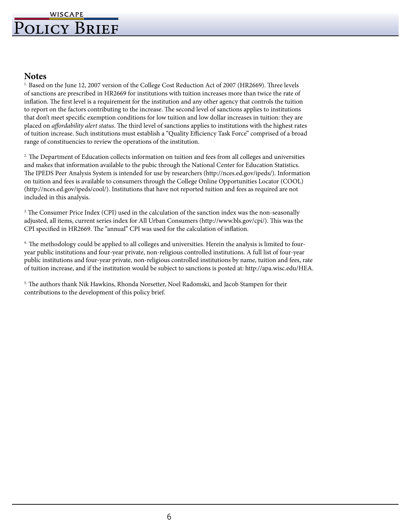#### WISCAPE

### Policy Brief

#### **Notes**

<sup>1.</sup> Based on the June 12, 2007 version of the College Cost Reduction Act of 2007 (HR2669). Three levels of sanctions are prescribed in HR2669 for institutions with tuition increases more than twice the rate of inflation. The first level is a requirement for the institution and any other agency that controls the tuition to report on the factors contributing to the increase. The second level of sanctions applies to institutions that don't meet specific exemption conditions for low tuition and low dollar increases in tuition: they are placed on *affordability alert status*. The third level of sanctions applies to institutions with the highest rates of tuition increase. Such institutions must establish a "Quality Efficiency Task Force" comprised of a broad range of constituencies to review the operations of the institution.

<sup>2</sup>. The Department of Education collects information on tuition and fees from all colleges and universities and makes that information available to the pubic through the National Center for Education Statistics. The IPEDS Peer Analysis System is intended for use by researchers (http://nces.ed.gov/ipeds/). Information on tuition and fees is available to consumers through the College Online Opportunities Locator (COOL) (http://nces.ed.gov/ipeds/cool/). Institutions that have not reported tuition and fees as required are not included in this analysis.

3. The Consumer Price Index (CPI) used in the calculation of the sanction index was the non-seasonally adjusted, all items, current series index for All Urban Consumers (http://www.bls.gov/cpi/). This was the CPI specified in HR2669. The "annual" CPI was used for the calculation of inflation.

4. The methodology could be applied to all colleges and universities. Herein the analysis is limited to fouryear public institutions and four-year private, non-religious controlled institutions. A full list of four-year public institutions and four-year private, non-religious controlled institutions by name, tuition and fees, rate of tuition increase, and if the institution would be subject to sanctions is posted at: http://apa.wisc.edu/HEA.

5. The authors thank Nik Hawkins, Rhonda Norsetter, Noel Radomski, and Jacob Stampen for their contributions to the development of this policy brief.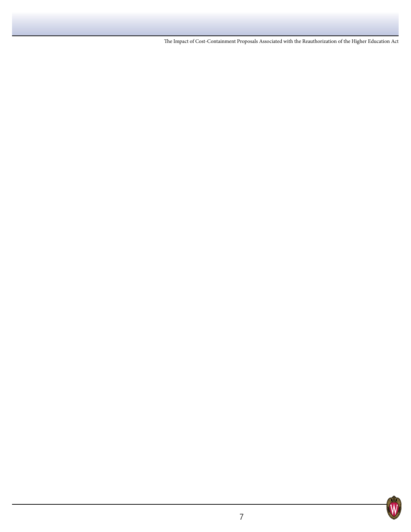The Impact of Cost-Containment Proposals Associated with the Reauthorization of the Higher Education Act